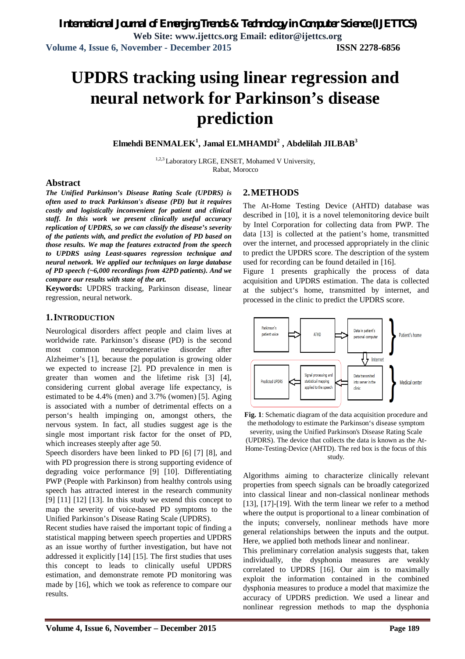# **UPDRS tracking using linear regression and neural network for Parkinson's disease prediction**

**Elmehdi BENMALEK<sup>1</sup> , Jamal ELMHAMDI<sup>2</sup> , Abdelilah JILBAB<sup>3</sup>**

<sup>1,2,3</sup> Laboratory LRGE, ENSET, Mohamed V University, Rabat, Morocco

#### **Abstract**

*The Unified Parkinson's Disease Rating Scale (UPDRS) is often used to track Parkinson's disease (PD) but it requires costly and logistically inconvenient for patient and clinical staff. In this work we present clinically useful accuracy replication of UPDRS, so we can classify the disease's severity of the patients with, and predict the evolution of PD based on those results. We map the features extracted from the speech to UPDRS using Least-squares regression technique and neural network. We applied our techniques on large database of PD speech (~6,000 recordings from 42PD patients). And we compare our results with state of the art.*

**Keywords:** UPDRS tracking, Parkinson disease, linear regression, neural network.

#### **1.INTRODUCTION**

Neurological disorders affect people and claim lives at worldwide rate. Parkinson's disease (PD) is the second most common neurodegenerative disorder after Alzheimer's [1], because the population is growing older we expected to increase [2]. PD prevalence in men is greater than women and the lifetime risk [3] [4], considering current global average life expectancy, is estimated to be 4.4% (men) and 3.7% (women) [5]. Aging is associated with a number of detrimental effects on a person's health impinging on, amongst others, the nervous system. In fact, all studies suggest age is the single most important risk factor for the onset of PD, which increases steeply after age 50.

Speech disorders have been linked to PD [6] [7] [8], and with PD progression there is strong supporting evidence of degrading voice performance [9] [10]. Differentiating PWP (People with Parkinson) from healthy controls using speech has attracted interest in the research community [9]  $[11]$   $[12]$   $[13]$ . In this study we extend this concept to map the severity of voice-based PD symptoms to the Unified Parkinson's Disease Rating Scale (UPDRS).

Recent studies have raised the important topic of finding a statistical mapping between speech properties and UPDRS as an issue worthy of further investigation, but have not addressed it explicitly [14] [15]. The first studies that uses this concept to leads to clinically useful UPDRS estimation, and demonstrate remote PD monitoring was made by [16], which we took as reference to compare our results.

#### **2.METHODS**

The At-Home Testing Device (AHTD) database was described in [10], it is a novel telemonitoring device built by Intel Corporation for collecting data from PWP. The data [13] is collected at the patient's home, transmitted over the internet, and processed appropriately in the clinic to predict the UPDRS score. The description of the system used for recording can be found detailed in [16].

Figure 1 presents graphically the process of data acquisition and UPDRS estimation. The data is collected at the subject's home, transmitted by internet, and processed in the clinic to predict the UPDRS score.



**Fig. 1**: Schematic diagram of the data acquisition procedure and the methodology to estimate the Parkinson's disease symptom severity, using the Unified Parkinson's Disease Rating Scale (UPDRS). The device that collects the data is known as the At-Home-Testing-Device (AHTD). The red box is the focus of this study.

Algorithms aiming to characterize clinically relevant properties from speech signals can be broadly categorized into classical linear and non-classical nonlinear methods [13], [17]-[19]. With the term linear we refer to a method where the output is proportional to a linear combination of the inputs; conversely, nonlinear methods have more general relationships between the inputs and the output. Here, we applied both methods linear and nonlinear.

This preliminary correlation analysis suggests that, taken individually, the dysphonia measures are weakly correlated to UPDRS [16]. Our aim is to maximally exploit the information contained in the combined dysphonia measures to produce a model that maximize the accuracy of UPDRS prediction. We used a linear and nonlinear regression methods to map the dysphonia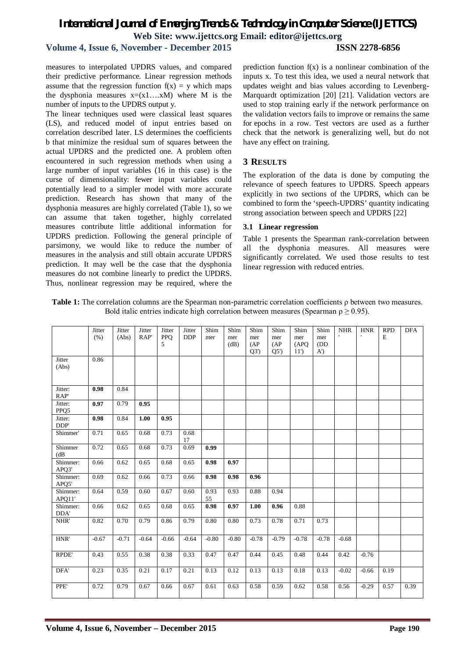### *International Journal of Emerging Trends & Technology in Computer Science (IJETTCS)* **Web Site: www.ijettcs.org Email: editor@ijettcs.org Volume 4, Issue 6, November - December 2015 ISSN 2278-6856**

measures to interpolated UPDRS values, and compared their predictive performance. Linear regression methods assume that the regression function  $f(x) = y$  which maps the dysphonia measures  $x=(x1...xM)$  where M is the number of inputs to the UPDRS output y.

The linear techniques used were classical least squares (LS), and reduced model of input entries based on correlation described later. LS determines the coefficients b that minimize the residual sum of squares between the actual UPDRS and the predicted one. A problem often encountered in such regression methods when using a large number of input variables (16 in this case) is the curse of dimensionality: fewer input variables could potentially lead to a simpler model with more accurate prediction. Research has shown that many of the dysphonia measures are highly correlated (Table 1), so we can assume that taken together, highly correlated measures contribute little additional information for UPDRS prediction. Following the general principle of parsimony, we would like to reduce the number of measures in the analysis and still obtain accurate UPDRS prediction. It may well be the case that the dysphonia measures do not combine linearly to predict the UPDRS. Thus, nonlinear regression may be required, where the

prediction function  $f(x)$  is a nonlinear combination of the inputs x. To test this idea, we used a neural network that updates weight and bias values according to Levenberg-Marquardt optimization [20] [21]. Validation vectors are used to stop training early if the network performance on the validation vectors fails to improve or remains the same for epochs in a row. Test vectors are used as a further check that the network is generalizing well, but do not have any effect on training.

#### **3 RESULTS**

The exploration of the data is done by computing the relevance of speech features to UPDRS. Speech appears explicitly in two sections of the UPDRS, which can be combined to form the 'speech-UPDRS' quantity indicating strong association between speech and UPDRS [22]

#### **3.1 Linear regression**

Table 1 presents the Spearman rank-correlation between all the dysphonia measures. All measures were significantly correlated. We used those results to test linear regression with reduced entries.

| Table 1: The correlation columns are the Spearman non-parametric correlation coefficients $\rho$ between two measures. |
|------------------------------------------------------------------------------------------------------------------------|
| Bold italic entries indicate high correlation between measures (Spearman $\rho \ge 0.95$ ).                            |

|                    | Jitter<br>(% ) | Jitter<br>(Abs) | Jitter<br>RAP' | Jitter<br>PPQ<br>5 | Jitter<br><b>DDP</b> | Shim<br>mer | Shim<br>mer<br>(dB) | Shim<br>mer<br>(AP)<br>Q3' | Shim<br>mer<br>(AP)<br>Q5' | Shim<br>mer<br>(APQ)<br>11' | Shim<br>mer<br>(DD)<br>$A^{\prime}$ | <b>NHR</b> | <b>HNR</b> | <b>RPD</b><br>E | <b>DFA</b> |
|--------------------|----------------|-----------------|----------------|--------------------|----------------------|-------------|---------------------|----------------------------|----------------------------|-----------------------------|-------------------------------------|------------|------------|-----------------|------------|
| Jitter<br>(Abs)    | 0.86           |                 |                |                    |                      |             |                     |                            |                            |                             |                                     |            |            |                 |            |
| Jitter:<br>RAP'    | 0.98           | 0.84            |                |                    |                      |             |                     |                            |                            |                             |                                     |            |            |                 |            |
| Jitter:<br>PPQ5    | 0.97           | 0.79            | 0.95           |                    |                      |             |                     |                            |                            |                             |                                     |            |            |                 |            |
| Jitter:<br>DDP'    | 0.98           | 0.84            | 1.00           | 0.95               |                      |             |                     |                            |                            |                             |                                     |            |            |                 |            |
| Shimmer'           | 0.71           | 0.65            | 0.68           | 0.73               | 0.68<br>17           |             |                     |                            |                            |                             |                                     |            |            |                 |            |
| Shimmer<br>(dB)    | 0.72           | 0.65            | 0.68           | 0.73               | 0.69                 | 0.99        |                     |                            |                            |                             |                                     |            |            |                 |            |
| Shimmer:<br>APQ3'  | 0.66           | 0.62            | 0.65           | 0.68               | 0.65                 | 0.98        | 0.97                |                            |                            |                             |                                     |            |            |                 |            |
| Shimmer:<br>APQ5'  | 0.69           | 0.62            | 0.66           | 0.73               | 0.66                 | 0.98        | 0.98                | 0.96                       |                            |                             |                                     |            |            |                 |            |
| Shimmer:<br>APQ11' | 0.64           | 0.59            | 0.60           | 0.67               | 0.60                 | 0.93<br>55  | 0.93                | 0.88                       | 0.94                       |                             |                                     |            |            |                 |            |
| Shimmer:<br>DDA'   | 0.66           | 0.62            | 0.65           | 0.68               | 0.65                 | 0.98        | 0.97                | 1.00                       | 0.96                       | 0.88                        |                                     |            |            |                 |            |
| NHR'               | 0.82           | 0.70            | 0.79           | 0.86               | 0.79                 | 0.80        | 0.80                | 0.73                       | 0.78                       | 0.71                        | 0.73                                |            |            |                 |            |
| HNR'               | $-0.67$        | $-0.71$         | $-0.64$        | $-0.66$            | $-0.64$              | $-0.80$     | $-0.80$             | $-0.78$                    | $-0.79$                    | $-0.78$                     | $-0.78$                             | $-0.68$    |            |                 |            |
| RPDE'              | 0.43           | 0.55            | 0.38           | 0.38               | 0.33                 | 0.47        | 0.47                | 0.44                       | 0.45                       | 0.48                        | 0.44                                | 0.42       | $-0.76$    |                 |            |
| DFA'               | 0.23           | 0.35            | 0.21           | 0.17               | 0.21                 | 0.13        | 0.12                | 0.13                       | 0.13                       | 0.18                        | 0.13                                | $-0.02$    | $-0.66$    | 0.19            |            |
| PPE'               | 0.72           | 0.79            | 0.67           | 0.66               | 0.67                 | 0.61        | 0.63                | 0.58                       | 0.59                       | 0.62                        | 0.58                                | 0.56       | $-0.29$    | 0.57            | 0.39       |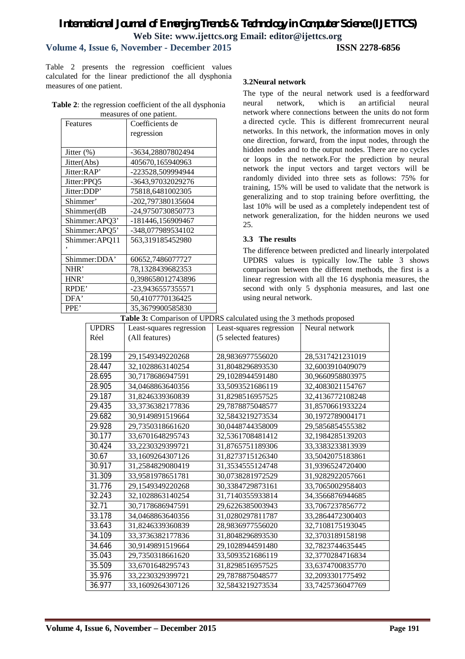# *International Journal of Emerging Trends & Technology in Computer Science (IJETTCS)* **Web Site: www.ijettcs.org Email: editor@ijettcs.org**

#### **Volume 4, Issue 6, November - December 2015 ISSN 2278-6856**

Table 2 presents the regression coefficient values calculated for the linear predictionof the all dysphonia measures of one patient.

| Table 2: the regression coefficient of the all dysphonia |
|----------------------------------------------------------|
| measures of one patient.                                 |

| Features       | Coefficients de   |
|----------------|-------------------|
|                | regression        |
|                |                   |
| Jitter $(\%)$  | -3634,28807802494 |
| Jitter(Abs)    | 405670,165940963  |
| Jitter:RAP'    | -223528,509994944 |
| Jitter:PPQ5    | -3643,97032029276 |
| Jitter:DDP'    | 75818,6481002305  |
| Shimmer'       | -202,797380135604 |
| Shimmer(dB     | -24,9750730850773 |
| Shimmer:APQ3'  | -181446,156909467 |
| Shimmer: APQ5' | -348,077989534102 |
| Shimmer:APQ11  | 563,319185452980  |
|                |                   |
| Shimmer:DDA'   | 60652,7486077727  |
| NHR'           | 78,1328439682353  |
| HNR'           | 0,398658012743896 |
| RPDE'          | -23,9436557355571 |
| DFA'           | 50,4107770136425  |
| PPE'           | 35,3679900585830  |

#### **3.2Neural network**

The type of the neural network used is a feedforward neural network, which is an artificial neural network where connections between the units do not form a directed cycle. This is different fromrecurrent neural networks. In this network, the information moves in only one direction, forward, from the input nodes, through the hidden nodes and to the output nodes. There are no cycles or loops in the network.For the prediction by neural network the input vectors and target vectors will be randomly divided into three sets as follows: 75% for training, 15% will be used to validate that the network is generalizing and to stop training before overfitting, the last 10% will be used as a completely independent test of network generalization, for the hidden neurons we used 25.

#### **3.3 The results**

The difference between predicted and linearly interpolated UPDRS values is typically low.The table 3 shows comparison between the different methods, the first is a linear regression with all the 16 dysphonia measures, the second with only 5 dysphonia measures, and last one using neural network.

#### **Table 3:** Comparison of UPDRS calculated using the 3 methods proposed

| <b>UPDRS</b> | Least-squares regression | $\sim$ comparison or existing valuation asing the $\epsilon$ memory proposed<br>Least-squares regression | Neural network   |
|--------------|--------------------------|----------------------------------------------------------------------------------------------------------|------------------|
| Réel         | (All features)           | (5 selected features)                                                                                    |                  |
|              |                          |                                                                                                          |                  |
| 28.199       | 29,1549349220268         | 28,9836977556020                                                                                         | 28,5317421231019 |
| 28.447       | 32,1028863140254         | 31,8048296893530                                                                                         | 32,6003910409079 |
| 28.695       | 30,7178686947591         | 29,1028944591480                                                                                         | 30,9660958803975 |
| 28.905       | 34,0468863640356         | 33,5093521686119                                                                                         | 32,4083021154767 |
| 29.187       | 31,8246339360839         | 31,8298516957525                                                                                         | 32,4136772108248 |
| 29.435       | 33,3736382177836         | 29,7878875048577                                                                                         | 31,8570661933224 |
| 29.682       | 30,9149891519664         | 32,5843219273534                                                                                         | 30,1972789004171 |
| 29.928       | 29,7350318661620         | 30,0448744358009                                                                                         | 29,5856854555382 |
| 30.177       | 33,6701648295743         | 32,5361708481412                                                                                         | 32,1984285139203 |
| 30.424       | 33,2230329399721         | 31,8765751189306                                                                                         | 33,3383233813939 |
| 30.67        | 33,1609264307126         | 31,8273715126340                                                                                         | 33,5042075183861 |
| 30.917       | 31,2584829080419         | 31,3534555124748                                                                                         | 31,9396524720400 |
| 31.309       | 33,9581978651781         | 30,0738281972529                                                                                         | 31,9282922057661 |
| 31.776       | 29,1549349220268         | 30,3384729873161                                                                                         | 33,7065002958403 |
| 32.243       | 32,1028863140254         | 31,7140355933814                                                                                         | 34,3566876944685 |
| 32.71        | 30,7178686947591         | 29,6226385003943                                                                                         | 33,7067237856772 |
| 33.178       | 34,0468863640356         | 31,0280297811787                                                                                         | 33,2864472300403 |
| 33.643       | 31,8246339360839         | 28,9836977556020                                                                                         | 32,7108175193045 |
| 34.109       | 33,3736382177836         | 31,8048296893530                                                                                         | 32,3703189158198 |
| 34.646       | 30,9149891519664         | 29,1028944591480                                                                                         | 32,7823744635445 |
| 35.043       | 29,7350318661620         | 33,5093521686119                                                                                         | 32,3770284716834 |
| 35.509       | 33,6701648295743         | 31,8298516957525                                                                                         | 33,6374700835770 |
| 35.976       | 33,2230329399721         | 29,7878875048577                                                                                         | 32,2093301775492 |
| 36.977       | 33,1609264307126         | 32,5843219273534                                                                                         | 33,7425736047769 |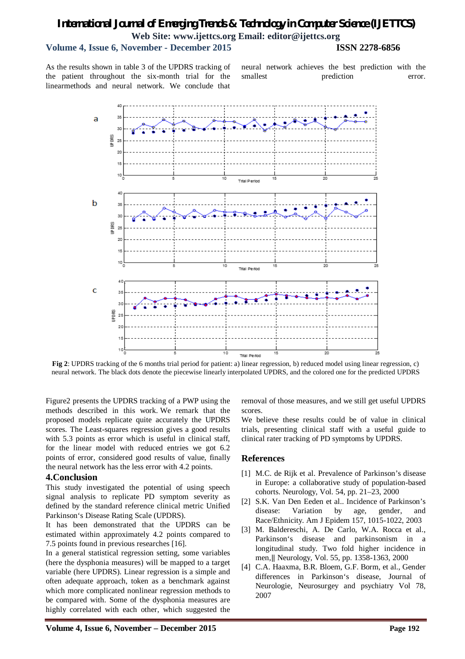### *International Journal of Emerging Trends & Technology in Computer Science (IJETTCS)* **Web Site: www.ijettcs.org Email: editor@ijettcs.org Volume 4, Issue 6, November - December 2015 ISSN 2278-6856**

As the results shown in table 3 of the UPDRS tracking of the patient throughout the six-month trial for the linearmethods and neural network. We conclude that

neural network achieves the best prediction with the smallest prediction error.



**Fig 2**: UPDRS tracking of the 6 months trial period for patient: a) linear regression, b) reduced model using linear regression, c) neural network. The black dots denote the piecewise linearly interpolated UPDRS, and the colored one for the predicted UPDRS

Figure2 presents the UPDRS tracking of a PWP using the methods described in this work. We remark that the proposed models replicate quite accurately the UPDRS scores. The Least-squares regression gives a good results with 5.3 points as error which is useful in clinical staff, for the linear model with reduced entries we got 6.2 points of error, considered good results of value, finally the neural network has the less error with 4.2 points.

#### **4.Conclusion**

This study investigated the potential of using speech signal analysis to replicate PD symptom severity as defined by the standard reference clinical metric Unified Parkinson's Disease Rating Scale (UPDRS).

It has been demonstrated that the UPDRS can be estimated within approximately 4.2 points compared to 7.5 points found in previous researches [16].

In a general statistical regression setting, some variables (here the dysphonia measures) will be mapped to a target variable (here UPDRS). Linear regression is a simple and often adequate approach, token as a benchmark against which more complicated nonlinear regression methods to be compared with. Some of the dysphonia measures are highly correlated with each other, which suggested the

removal of those measures, and we still get useful UPDRS scores.

We believe these results could be of value in clinical trials, presenting clinical staff with a useful guide to clinical rater tracking of PD symptoms by UPDRS.

#### **References**

- [1] M.C. de Rijk et al. Prevalence of Parkinson's disease in Europe: a collaborative study of population-based cohorts. Neurology, Vol. 54, pp. 21–23, 2000
- [2] S.K. Van Den Eeden et al.. Incidence of Parkinson's disease: Variation by age, gender, and Race/Ethnicity. Am J Epidem 157, 1015-1022, 2003
- [3] M. Baldereschi, A. De Carlo, W.A. Rocca et al., Parkinson's disease and parkinsonism in a longitudinal study. Two fold higher incidence in men,‖ Neurology, Vol. 55, pp. 1358-1363, 2000
- [4] C.A. Haaxma, B.R. Bloem, G.F. Borm, et al., Gender differences in Parkinson's disease, Journal of Neurologie, Neurosurgey and psychiatry Vol 78, 2007